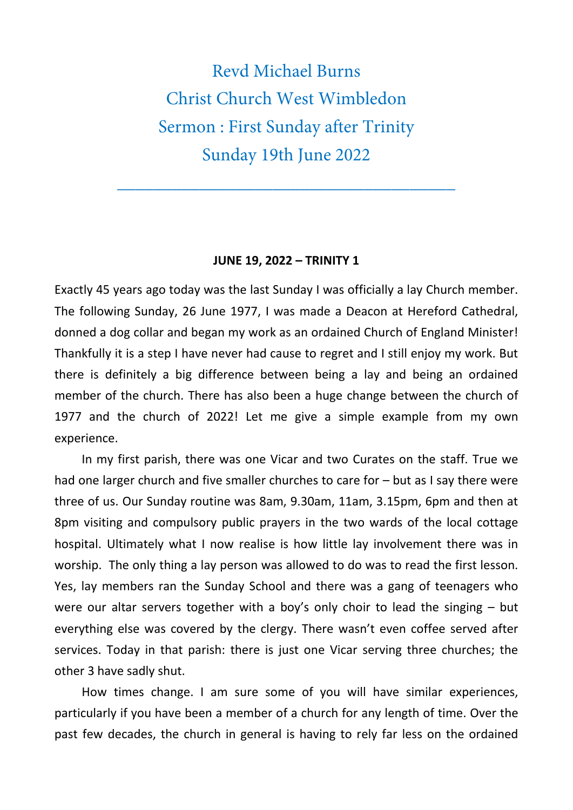Revd Michael Burns Christ Church West Wimbledon Sermon : First Sunday after Trinity Sunday 19th June 2022

\_\_\_\_\_\_\_\_\_\_\_\_\_\_\_\_\_\_\_\_\_\_\_\_\_\_\_\_\_\_\_\_\_\_\_\_\_

## **JUNE 19, 2022 – TRINITY 1**

Exactly 45 years ago today was the last Sunday I was officially a lay Church member. The following Sunday, 26 June 1977, I was made a Deacon at Hereford Cathedral, donned a dog collar and began my work as an ordained Church of England Minister! Thankfully it is a step I have never had cause to regret and I still enjoy my work. But there is definitely a big difference between being a lay and being an ordained member of the church. There has also been a huge change between the church of 1977 and the church of 2022! Let me give a simple example from my own experience.

In my first parish, there was one Vicar and two Curates on the staff. True we had one larger church and five smaller churches to care for – but as I say there were three of us. Our Sunday routine was 8am, 9.30am, 11am, 3.15pm, 6pm and then at 8pm visiting and compulsory public prayers in the two wards of the local cottage hospital. Ultimately what I now realise is how little lay involvement there was in worship. The only thing a lay person was allowed to do was to read the first lesson. Yes, lay members ran the Sunday School and there was a gang of teenagers who were our altar servers together with a boy's only choir to lead the singing – but everything else was covered by the clergy. There wasn't even coffee served after services. Today in that parish: there is just one Vicar serving three churches; the other 3 have sadly shut.

How times change. I am sure some of you will have similar experiences, particularly if you have been a member of a church for any length of time. Over the past few decades, the church in general is having to rely far less on the ordained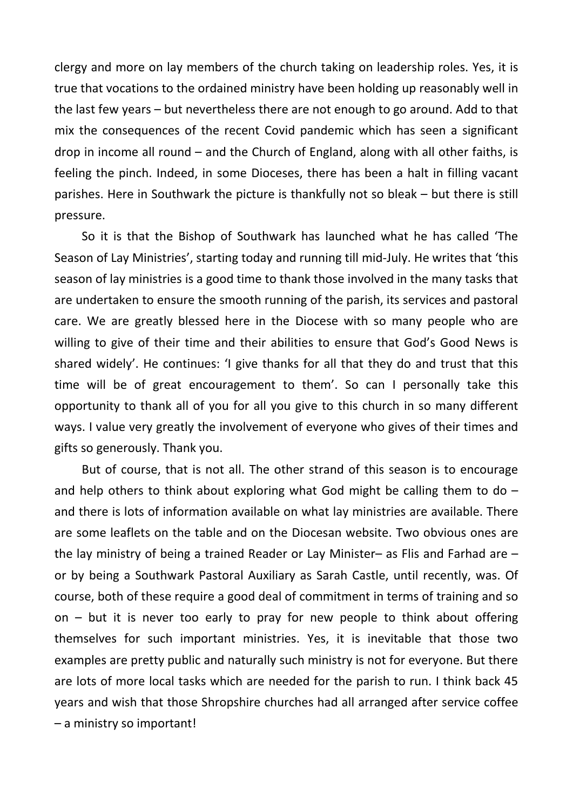clergy and more on lay members of the church taking on leadership roles. Yes, it is true that vocations to the ordained ministry have been holding up reasonably well in the last few years – but nevertheless there are not enough to go around. Add to that mix the consequences of the recent Covid pandemic which has seen a significant drop in income all round – and the Church of England, along with all other faiths, is feeling the pinch. Indeed, in some Dioceses, there has been a halt in filling vacant parishes. Here in Southwark the picture is thankfully not so bleak – but there is still pressure.

So it is that the Bishop of Southwark has launched what he has called 'The Season of Lay Ministries', starting today and running till mid-July. He writes that 'this season of lay ministries is a good time to thank those involved in the many tasks that are undertaken to ensure the smooth running of the parish, its services and pastoral care. We are greatly blessed here in the Diocese with so many people who are willing to give of their time and their abilities to ensure that God's Good News is shared widely'. He continues: 'I give thanks for all that they do and trust that this time will be of great encouragement to them'. So can I personally take this opportunity to thank all of you for all you give to this church in so many different ways. I value very greatly the involvement of everyone who gives of their times and gifts so generously. Thank you.

But of course, that is not all. The other strand of this season is to encourage and help others to think about exploring what God might be calling them to do  $$ and there is lots of information available on what lay ministries are available. There are some leaflets on the table and on the Diocesan website. Two obvious ones are the lay ministry of being a trained Reader or Lay Minister– as Flis and Farhad are – or by being a Southwark Pastoral Auxiliary as Sarah Castle, until recently, was. Of course, both of these require a good deal of commitment in terms of training and so on – but it is never too early to pray for new people to think about offering themselves for such important ministries. Yes, it is inevitable that those two examples are pretty public and naturally such ministry is not for everyone. But there are lots of more local tasks which are needed for the parish to run. I think back 45 years and wish that those Shropshire churches had all arranged after service coffee – a ministry so important!